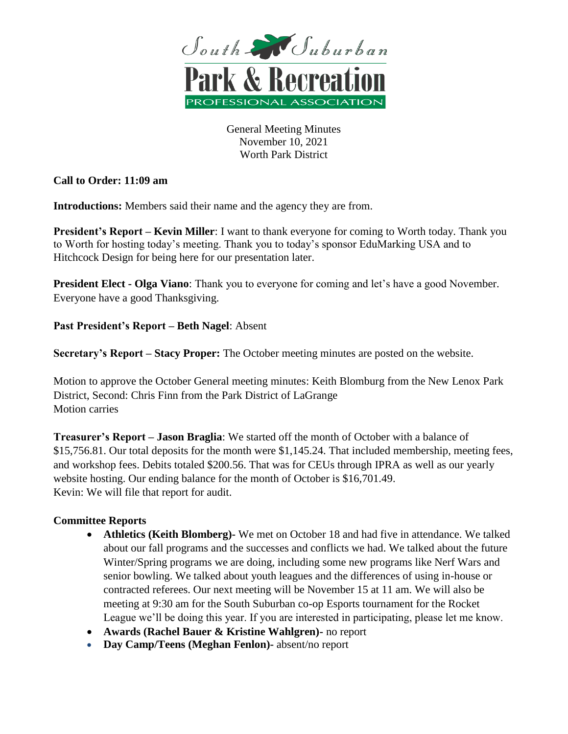

General Meeting Minutes November 10, 2021 Worth Park District

# **Call to Order: 11:09 am**

**Introductions:** Members said their name and the agency they are from.

**President's Report – Kevin Miller**: I want to thank everyone for coming to Worth today. Thank you to Worth for hosting today's meeting. Thank you to today's sponsor EduMarking USA and to Hitchcock Design for being here for our presentation later.

**President Elect - Olga Viano**: Thank you to everyone for coming and let's have a good November. Everyone have a good Thanksgiving.

**Past President's Report – Beth Nagel**: Absent

**Secretary's Report – Stacy Proper:** The October meeting minutes are posted on the website.

Motion to approve the October General meeting minutes: Keith Blomburg from the New Lenox Park District, Second: Chris Finn from the Park District of LaGrange Motion carries

**Treasurer's Report – Jason Braglia**: We started off the month of October with a balance of \$15,756.81. Our total deposits for the month were \$1,145.24. That included membership, meeting fees, and workshop fees. Debits totaled \$200.56. That was for CEUs through IPRA as well as our yearly website hosting. Our ending balance for the month of October is \$16,701.49. Kevin: We will file that report for audit.

# **Committee Reports**

- **Athletics (Keith Blomberg)-** We met on October 18 and had five in attendance. We talked about our fall programs and the successes and conflicts we had. We talked about the future Winter/Spring programs we are doing, including some new programs like Nerf Wars and senior bowling. We talked about youth leagues and the differences of using in-house or contracted referees. Our next meeting will be November 15 at 11 am. We will also be meeting at 9:30 am for the South Suburban co-op Esports tournament for the Rocket League we'll be doing this year. If you are interested in participating, please let me know.
- **Awards (Rachel Bauer & Kristine Wahlgren)-** no report
- **Day Camp/Teens (Meghan Fenlon)-** absent/no report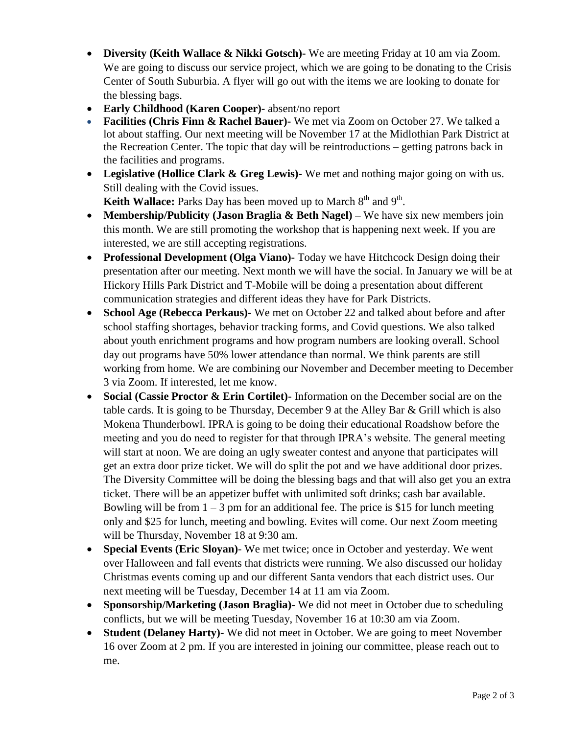- **Diversity (Keith Wallace & Nikki Gotsch)-** We are meeting Friday at 10 am via Zoom. We are going to discuss our service project, which we are going to be donating to the Crisis Center of South Suburbia. A flyer will go out with the items we are looking to donate for the blessing bags.
- **Early Childhood (Karen Cooper)-** absent/no report
- **Facilities (Chris Finn & Rachel Bauer)-** We met via Zoom on October 27. We talked a lot about staffing. Our next meeting will be November 17 at the Midlothian Park District at the Recreation Center. The topic that day will be reintroductions – getting patrons back in the facilities and programs.
- **Legislative (Hollice Clark & Greg Lewis)-** We met and nothing major going on with us. Still dealing with the Covid issues.

Keith Wallace: Parks Day has been moved up to March 8<sup>th</sup> and 9<sup>th</sup>.

- **Membership/Publicity (Jason Braglia & Beth Nagel) –** We have six new members join this month. We are still promoting the workshop that is happening next week. If you are interested, we are still accepting registrations.
- **Professional Development (Olga Viano)-** Today we have Hitchcock Design doing their presentation after our meeting. Next month we will have the social. In January we will be at Hickory Hills Park District and T-Mobile will be doing a presentation about different communication strategies and different ideas they have for Park Districts.
- **School Age (Rebecca Perkaus)-** We met on October 22 and talked about before and after school staffing shortages, behavior tracking forms, and Covid questions. We also talked about youth enrichment programs and how program numbers are looking overall. School day out programs have 50% lower attendance than normal. We think parents are still working from home. We are combining our November and December meeting to December 3 via Zoom. If interested, let me know.
- **Social (Cassie Proctor & Erin Cortilet)-** Information on the December social are on the table cards. It is going to be Thursday, December 9 at the Alley Bar & Grill which is also Mokena Thunderbowl. IPRA is going to be doing their educational Roadshow before the meeting and you do need to register for that through IPRA's website. The general meeting will start at noon. We are doing an ugly sweater contest and anyone that participates will get an extra door prize ticket. We will do split the pot and we have additional door prizes. The Diversity Committee will be doing the blessing bags and that will also get you an extra ticket. There will be an appetizer buffet with unlimited soft drinks; cash bar available. Bowling will be from  $1 - 3$  pm for an additional fee. The price is \$15 for lunch meeting only and \$25 for lunch, meeting and bowling. Evites will come. Our next Zoom meeting will be Thursday, November 18 at 9:30 am.
- **Special Events (Eric Sloyan)** We met twice; once in October and yesterday. We went over Halloween and fall events that districts were running. We also discussed our holiday Christmas events coming up and our different Santa vendors that each district uses. Our next meeting will be Tuesday, December 14 at 11 am via Zoom.
- **Sponsorship/Marketing (Jason Braglia)-** We did not meet in October due to scheduling conflicts, but we will be meeting Tuesday, November 16 at 10:30 am via Zoom.
- **Student (Delaney Harty)-** We did not meet in October. We are going to meet November 16 over Zoom at 2 pm. If you are interested in joining our committee, please reach out to me.